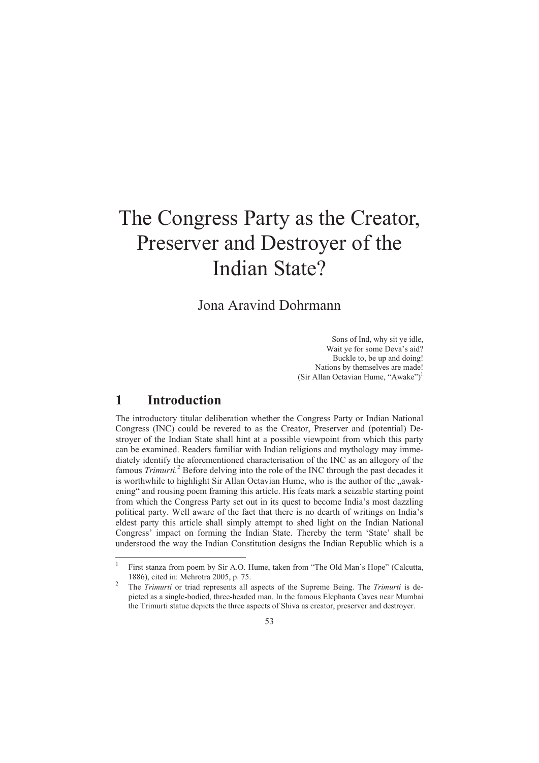# The Congress Party as the Creator, Preserver and Destroyer of the Indian State?

Jona Aravind Dohrmann

Sons of Ind, why sit ye idle, Wait ye for some Deva's aid? Buckle to, be up and doing! Nations by themselves are made! (Sir Allan Octavian Hume, "Awake")<sup>1</sup>

## **1 Introduction**

-

The introductory titular deliberation whether the Congress Party or Indian National Congress (INC) could be revered to as the Creator, Preserver and (potential) Destroyer of the Indian State shall hint at a possible viewpoint from which this party can be examined. Readers familiar with Indian religions and mythology may immediately identify the aforementioned characterisation of the INC as an allegory of the famous *Trimurti*.<sup>2</sup> Before delving into the role of the INC through the past decades it is worthwhile to highlight Sir Allan Octavian Hume, who is the author of the "awakening" and rousing poem framing this article. His feats mark a seizable starting point from which the Congress Party set out in its quest to become India's most dazzling political party. Well aware of the fact that there is no dearth of writings on India's eldest party this article shall simply attempt to shed light on the Indian National Congress' impact on forming the Indian State. Thereby the term 'State' shall be understood the way the Indian Constitution designs the Indian Republic which is a

<sup>1</sup> First stanza from poem by Sir A.O. Hume, taken from "The Old Man's Hope" (Calcutta, 1886), cited in: Mehrotra 2005, p. 75. 2

The *Trimurti* or triad represents all aspects of the Supreme Being. The *Trimurti* is depicted as a single-bodied, three-headed man. In the famous Elephanta Caves near Mumbai the Trimurti statue depicts the three aspects of Shiva as creator, preserver and destroyer.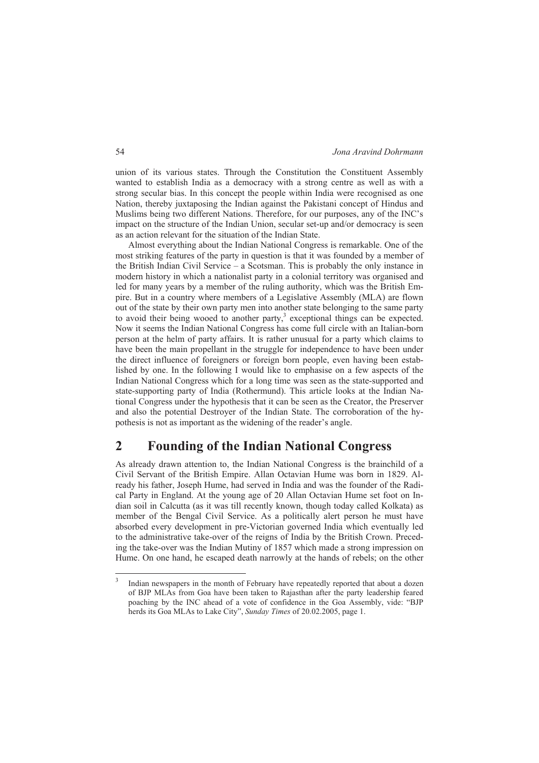union of its various states. Through the Constitution the Constituent Assembly wanted to establish India as a democracy with a strong centre as well as with a strong secular bias. In this concept the people within India were recognised as one Nation, thereby juxtaposing the Indian against the Pakistani concept of Hindus and Muslims being two different Nations. Therefore, for our purposes, any of the INC's impact on the structure of the Indian Union, secular set-up and/or democracy is seen as an action relevant for the situation of the Indian State.

Almost everything about the Indian National Congress is remarkable. One of the most striking features of the party in question is that it was founded by a member of the British Indian Civil Service – a Scotsman. This is probably the only instance in modern history in which a nationalist party in a colonial territory was organised and led for many years by a member of the ruling authority, which was the British Empire. But in a country where members of a Legislative Assembly (MLA) are flown out of the state by their own party men into another state belonging to the same party to avoid their being wooed to another party, $3$  exceptional things can be expected. Now it seems the Indian National Congress has come full circle with an Italian-born person at the helm of party affairs. It is rather unusual for a party which claims to have been the main propellant in the struggle for independence to have been under the direct influence of foreigners or foreign born people, even having been established by one. In the following I would like to emphasise on a few aspects of the Indian National Congress which for a long time was seen as the state-supported and state-supporting party of India (Rothermund). This article looks at the Indian National Congress under the hypothesis that it can be seen as the Creator, the Preserver and also the potential Destroyer of the Indian State. The corroboration of the hypothesis is not as important as the widening of the reader's angle.

## **2 Founding of the Indian National Congress**

As already drawn attention to, the Indian National Congress is the brainchild of a Civil Servant of the British Empire. Allan Octavian Hume was born in 1829. Already his father, Joseph Hume, had served in India and was the founder of the Radical Party in England. At the young age of 20 Allan Octavian Hume set foot on Indian soil in Calcutta (as it was till recently known, though today called Kolkata) as member of the Bengal Civil Service. As a politically alert person he must have absorbed every development in pre-Victorian governed India which eventually led to the administrative take-over of the reigns of India by the British Crown. Preceding the take-over was the Indian Mutiny of 1857 which made a strong impression on Hume. On one hand, he escaped death narrowly at the hands of rebels; on the other

-

<sup>3</sup> Indian newspapers in the month of February have repeatedly reported that about a dozen of BJP MLAs from Goa have been taken to Rajasthan after the party leadership feared poaching by the INC ahead of a vote of confidence in the Goa Assembly, vide: "BJP herds its Goa MLAs to Lake City", *Sunday Times* of 20.02.2005, page 1.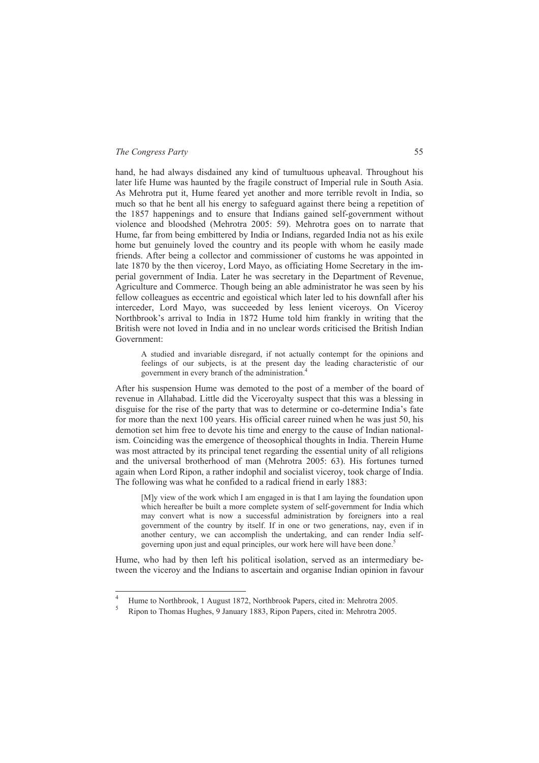hand, he had always disdained any kind of tumultuous upheaval. Throughout his later life Hume was haunted by the fragile construct of Imperial rule in South Asia. As Mehrotra put it, Hume feared yet another and more terrible revolt in India, so much so that he bent all his energy to safeguard against there being a repetition of the 1857 happenings and to ensure that Indians gained self-government without violence and bloodshed (Mehrotra 2005: 59). Mehrotra goes on to narrate that Hume, far from being embittered by India or Indians, regarded India not as his exile home but genuinely loved the country and its people with whom he easily made friends. After being a collector and commissioner of customs he was appointed in late 1870 by the then viceroy, Lord Mayo, as officiating Home Secretary in the imperial government of India. Later he was secretary in the Department of Revenue, Agriculture and Commerce. Though being an able administrator he was seen by his fellow colleagues as eccentric and egoistical which later led to his downfall after his interceder, Lord Mayo, was succeeded by less lenient viceroys. On Viceroy Northbrook's arrival to India in 1872 Hume told him frankly in writing that the British were not loved in India and in no unclear words criticised the British Indian Government:

A studied and invariable disregard, if not actually contempt for the opinions and feelings of our subjects, is at the present day the leading characteristic of our government in every branch of the administration.<sup>4</sup>

After his suspension Hume was demoted to the post of a member of the board of revenue in Allahabad. Little did the Viceroyalty suspect that this was a blessing in disguise for the rise of the party that was to determine or co-determine India's fate for more than the next 100 years. His official career ruined when he was just 50, his demotion set him free to devote his time and energy to the cause of Indian nationalism. Coinciding was the emergence of theosophical thoughts in India. Therein Hume was most attracted by its principal tenet regarding the essential unity of all religions and the universal brotherhood of man (Mehrotra 2005: 63). His fortunes turned again when Lord Ripon, a rather indophil and socialist viceroy, took charge of India. The following was what he confided to a radical friend in early 1883:

[M]y view of the work which I am engaged in is that I am laying the foundation upon which hereafter be built a more complete system of self-government for India which may convert what is now a successful administration by foreigners into a real government of the country by itself. If in one or two generations, nay, even if in another century, we can accomplish the undertaking, and can render India selfgoverning upon just and equal principles, our work here will have been done.<sup>5</sup>

Hume, who had by then left his political isolation, served as an intermediary between the viceroy and the Indians to ascertain and organise Indian opinion in favour

 $\frac{1}{4}$ Hume to Northbrook, 1 August 1872, Northbrook Papers, cited in: Mehrotra 2005.

<sup>5</sup> Ripon to Thomas Hughes, 9 January 1883, Ripon Papers, cited in: Mehrotra 2005.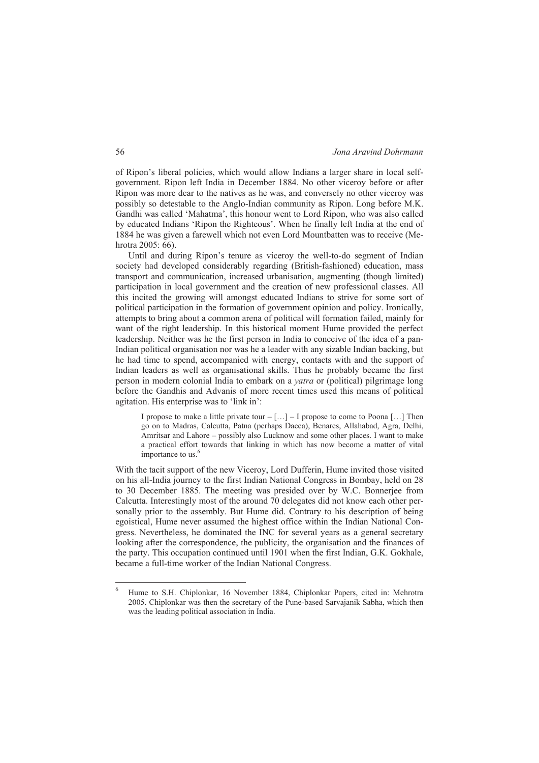of Ripon's liberal policies, which would allow Indians a larger share in local selfgovernment. Ripon left India in December 1884. No other viceroy before or after Ripon was more dear to the natives as he was, and conversely no other viceroy was possibly so detestable to the Anglo-Indian community as Ripon. Long before M.K. Gandhi was called 'Mahatma', this honour went to Lord Ripon, who was also called by educated Indians 'Ripon the Righteous'. When he finally left India at the end of 1884 he was given a farewell which not even Lord Mountbatten was to receive (Mehrotra 2005: 66).

Until and during Ripon's tenure as viceroy the well-to-do segment of Indian society had developed considerably regarding (British-fashioned) education, mass transport and communication, increased urbanisation, augmenting (though limited) participation in local government and the creation of new professional classes. All this incited the growing will amongst educated Indians to strive for some sort of political participation in the formation of government opinion and policy. Ironically, attempts to bring about a common arena of political will formation failed, mainly for want of the right leadership. In this historical moment Hume provided the perfect leadership. Neither was he the first person in India to conceive of the idea of a pan-Indian political organisation nor was he a leader with any sizable Indian backing, but he had time to spend, accompanied with energy, contacts with and the support of Indian leaders as well as organisational skills. Thus he probably became the first person in modern colonial India to embark on a *yatra* or (political) pilgrimage long before the Gandhis and Advanis of more recent times used this means of political agitation. His enterprise was to 'link in':

I propose to make a little private tour  $-[...] - I$  propose to come to Poona [...] Then go on to Madras, Calcutta, Patna (perhaps Dacca), Benares, Allahabad, Agra, Delhi, Amritsar and Lahore – possibly also Lucknow and some other places. I want to make a practical effort towards that linking in which has now become a matter of vital importance to us. $<sup>6</sup>$ </sup>

With the tacit support of the new Viceroy, Lord Dufferin, Hume invited those visited on his all-India journey to the first Indian National Congress in Bombay, held on 28 to 30 December 1885. The meeting was presided over by W.C. Bonnerjee from Calcutta. Interestingly most of the around 70 delegates did not know each other personally prior to the assembly. But Hume did. Contrary to his description of being egoistical, Hume never assumed the highest office within the Indian National Congress. Nevertheless, he dominated the INC for several years as a general secretary looking after the correspondence, the publicity, the organisation and the finances of the party. This occupation continued until 1901 when the first Indian, G.K. Gokhale, became a full-time worker of the Indian National Congress.

 $\frac{1}{6}$  Hume to S.H. Chiplonkar, 16 November 1884, Chiplonkar Papers, cited in: Mehrotra 2005. Chiplonkar was then the secretary of the Pune-based Sarvajanik Sabha, which then was the leading political association in India.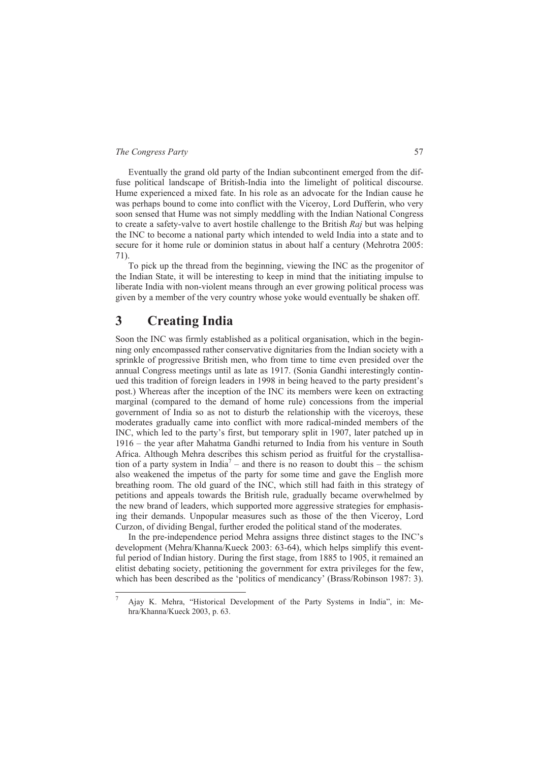Eventually the grand old party of the Indian subcontinent emerged from the diffuse political landscape of British-India into the limelight of political discourse. Hume experienced a mixed fate. In his role as an advocate for the Indian cause he was perhaps bound to come into conflict with the Viceroy, Lord Dufferin, who very soon sensed that Hume was not simply meddling with the Indian National Congress to create a safety-valve to avert hostile challenge to the British *Raj* but was helping the INC to become a national party which intended to weld India into a state and to secure for it home rule or dominion status in about half a century (Mehrotra 2005: 71).

To pick up the thread from the beginning, viewing the INC as the progenitor of the Indian State, it will be interesting to keep in mind that the initiating impulse to liberate India with non-violent means through an ever growing political process was given by a member of the very country whose yoke would eventually be shaken off.

## **3 Creating India**

-

Soon the INC was firmly established as a political organisation, which in the beginning only encompassed rather conservative dignitaries from the Indian society with a sprinkle of progressive British men, who from time to time even presided over the annual Congress meetings until as late as 1917. (Sonia Gandhi interestingly continued this tradition of foreign leaders in 1998 in being heaved to the party president's post.) Whereas after the inception of the INC its members were keen on extracting marginal (compared to the demand of home rule) concessions from the imperial government of India so as not to disturb the relationship with the viceroys, these moderates gradually came into conflict with more radical-minded members of the INC, which led to the party's first, but temporary split in 1907, later patched up in 1916 – the year after Mahatma Gandhi returned to India from his venture in South Africa. Although Mehra describes this schism period as fruitful for the crystallisation of a party system in India<sup>7</sup> – and there is no reason to doubt this – the schism also weakened the impetus of the party for some time and gave the English more breathing room. The old guard of the INC, which still had faith in this strategy of petitions and appeals towards the British rule, gradually became overwhelmed by the new brand of leaders, which supported more aggressive strategies for emphasising their demands. Unpopular measures such as those of the then Viceroy, Lord Curzon, of dividing Bengal, further eroded the political stand of the moderates.

In the pre-independence period Mehra assigns three distinct stages to the INC's development (Mehra/Khanna/Kueck 2003: 63-64), which helps simplify this eventful period of Indian history. During the first stage, from 1885 to 1905, it remained an elitist debating society, petitioning the government for extra privileges for the few, which has been described as the 'politics of mendicancy' (Brass/Robinson 1987: 3).

<sup>7</sup> Ajay K. Mehra, "Historical Development of the Party Systems in India", in: Mehra/Khanna/Kueck 2003, p. 63.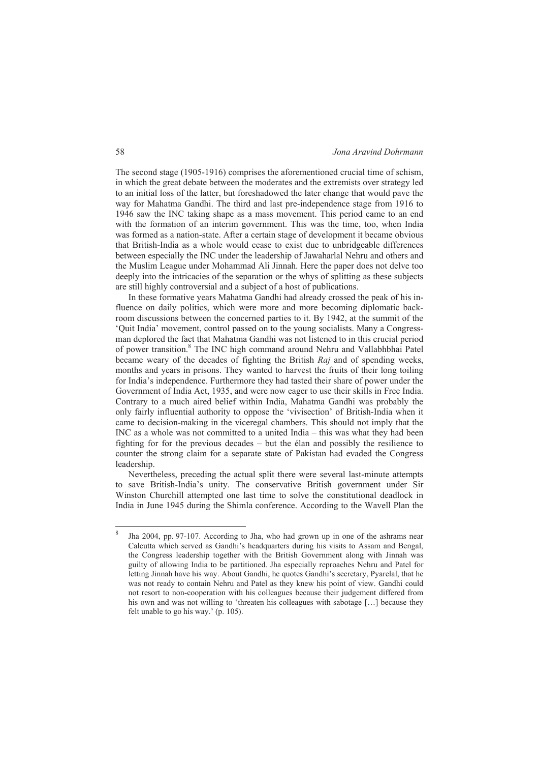The second stage (1905-1916) comprises the aforementioned crucial time of schism, in which the great debate between the moderates and the extremists over strategy led to an initial loss of the latter, but foreshadowed the later change that would pave the way for Mahatma Gandhi. The third and last pre-independence stage from 1916 to 1946 saw the INC taking shape as a mass movement. This period came to an end with the formation of an interim government. This was the time, too, when India was formed as a nation-state. After a certain stage of development it became obvious that British-India as a whole would cease to exist due to unbridgeable differences between especially the INC under the leadership of Jawaharlal Nehru and others and the Muslim League under Mohammad Ali Jinnah. Here the paper does not delve too deeply into the intricacies of the separation or the whys of splitting as these subjects are still highly controversial and a subject of a host of publications.

In these formative years Mahatma Gandhi had already crossed the peak of his influence on daily politics, which were more and more becoming diplomatic backroom discussions between the concerned parties to it. By 1942, at the summit of the 'Quit India' movement, control passed on to the young socialists. Many a Congressman deplored the fact that Mahatma Gandhi was not listened to in this crucial period of power transition.<sup>8</sup> The INC high command around Nehru and Vallabhbhai Patel became weary of the decades of fighting the British *Raj* and of spending weeks, months and years in prisons. They wanted to harvest the fruits of their long toiling for India's independence. Furthermore they had tasted their share of power under the Government of India Act, 1935, and were now eager to use their skills in Free India. Contrary to a much aired belief within India, Mahatma Gandhi was probably the only fairly influential authority to oppose the 'vivisection' of British-India when it came to decision-making in the viceregal chambers. This should not imply that the INC as a whole was not committed to a united India – this was what they had been fighting for for the previous decades – but the élan and possibly the resilience to counter the strong claim for a separate state of Pakistan had evaded the Congress leadership.

Nevertheless, preceding the actual split there were several last-minute attempts to save British-India's unity. The conservative British government under Sir Winston Churchill attempted one last time to solve the constitutional deadlock in India in June 1945 during the Shimla conference. According to the Wavell Plan the

-

<sup>8</sup> Jha 2004, pp. 97-107. According to Jha, who had grown up in one of the ashrams near Calcutta which served as Gandhi's headquarters during his visits to Assam and Bengal, the Congress leadership together with the British Government along with Jinnah was guilty of allowing India to be partitioned. Jha especially reproaches Nehru and Patel for letting Jinnah have his way. About Gandhi, he quotes Gandhi's secretary, Pyarelal, that he was not ready to contain Nehru and Patel as they knew his point of view. Gandhi could not resort to non-cooperation with his colleagues because their judgement differed from his own and was not willing to 'threaten his colleagues with sabotage [...] because they felt unable to go his way.' (p. 105).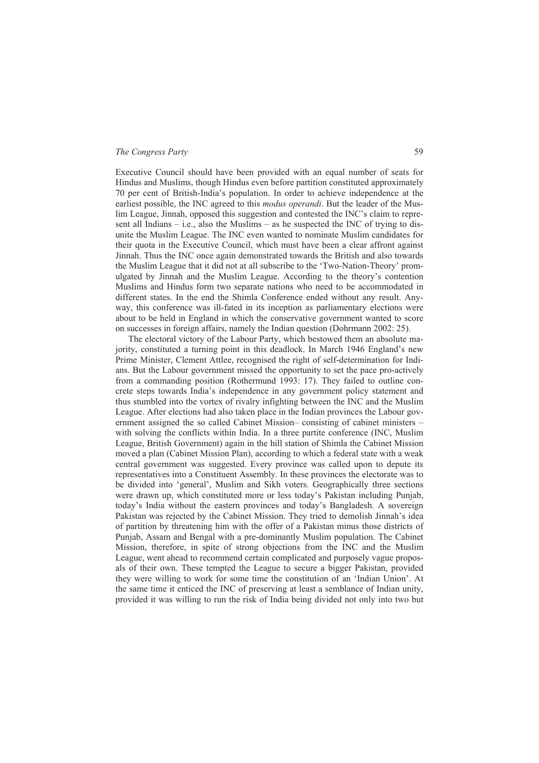Executive Council should have been provided with an equal number of seats for Hindus and Muslims, though Hindus even before partition constituted approximately 70 per cent of British-India's population. In order to achieve independence at the earliest possible, the INC agreed to this *modus operandi*. But the leader of the Muslim League, Jinnah, opposed this suggestion and contested the INC's claim to represent all Indians – i.e., also the Muslims – as he suspected the INC of trying to disunite the Muslim League. The INC even wanted to nominate Muslim candidates for their quota in the Executive Council, which must have been a clear affront against Jinnah. Thus the INC once again demonstrated towards the British and also towards the Muslim League that it did not at all subscribe to the 'Two-Nation-Theory' promulgated by Jinnah and the Muslim League. According to the theory's contention Muslims and Hindus form two separate nations who need to be accommodated in different states. In the end the Shimla Conference ended without any result. Anyway, this conference was ill-fated in its inception as parliamentary elections were about to be held in England in which the conservative government wanted to score on successes in foreign affairs, namely the Indian question (Dohrmann 2002: 25).

The electoral victory of the Labour Party, which bestowed them an absolute majority, constituted a turning point in this deadlock. In March 1946 England's new Prime Minister, Clement Attlee, recognised the right of self-determination for Indians. But the Labour government missed the opportunity to set the pace pro-actively from a commanding position (Rothermund 1993: 17). They failed to outline concrete steps towards India's independence in any government policy statement and thus stumbled into the vortex of rivalry infighting between the INC and the Muslim League. After elections had also taken place in the Indian provinces the Labour government assigned the so called Cabinet Mission– consisting of cabinet ministers – with solving the conflicts within India. In a three partite conference (INC, Muslim League, British Government) again in the hill station of Shimla the Cabinet Mission moved a plan (Cabinet Mission Plan), according to which a federal state with a weak central government was suggested. Every province was called upon to depute its representatives into a Constituent Assembly. In these provinces the electorate was to be divided into 'general', Muslim and Sikh voters. Geographically three sections were drawn up, which constituted more or less today's Pakistan including Punjab, today's India without the eastern provinces and today's Bangladesh. A sovereign Pakistan was rejected by the Cabinet Mission. They tried to demolish Jinnah's idea of partition by threatening him with the offer of a Pakistan minus those districts of Punjab, Assam and Bengal with a pre-dominantly Muslim population. The Cabinet Mission, therefore, in spite of strong objections from the INC and the Muslim League, went ahead to recommend certain complicated and purposely vague proposals of their own. These tempted the League to secure a bigger Pakistan, provided they were willing to work for some time the constitution of an 'Indian Union'. At the same time it enticed the INC of preserving at least a semblance of Indian unity, provided it was willing to run the risk of India being divided not only into two but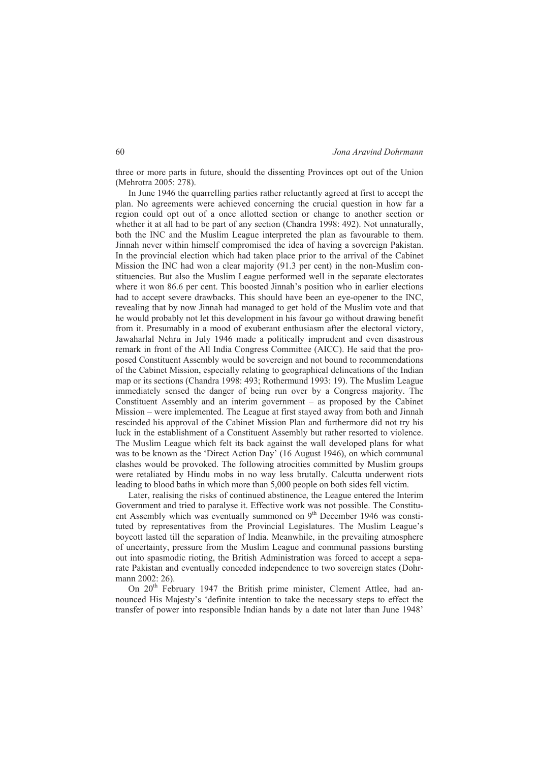three or more parts in future, should the dissenting Provinces opt out of the Union (Mehrotra 2005: 278).

In June 1946 the quarrelling parties rather reluctantly agreed at first to accept the plan. No agreements were achieved concerning the crucial question in how far a region could opt out of a once allotted section or change to another section or whether it at all had to be part of any section (Chandra 1998: 492). Not unnaturally, both the INC and the Muslim League interpreted the plan as favourable to them. Jinnah never within himself compromised the idea of having a sovereign Pakistan. In the provincial election which had taken place prior to the arrival of the Cabinet Mission the INC had won a clear majority (91.3 per cent) in the non-Muslim constituencies. But also the Muslim League performed well in the separate electorates where it won 86.6 per cent. This boosted Jinnah's position who in earlier elections had to accept severe drawbacks. This should have been an eye-opener to the INC, revealing that by now Jinnah had managed to get hold of the Muslim vote and that he would probably not let this development in his favour go without drawing benefit from it. Presumably in a mood of exuberant enthusiasm after the electoral victory, Jawaharlal Nehru in July 1946 made a politically imprudent and even disastrous remark in front of the All India Congress Committee (AICC). He said that the proposed Constituent Assembly would be sovereign and not bound to recommendations of the Cabinet Mission, especially relating to geographical delineations of the Indian map or its sections (Chandra 1998: 493; Rothermund 1993: 19). The Muslim League immediately sensed the danger of being run over by a Congress majority. The Constituent Assembly and an interim government – as proposed by the Cabinet Mission – were implemented. The League at first stayed away from both and Jinnah rescinded his approval of the Cabinet Mission Plan and furthermore did not try his luck in the establishment of a Constituent Assembly but rather resorted to violence. The Muslim League which felt its back against the wall developed plans for what was to be known as the 'Direct Action Day' (16 August 1946), on which communal clashes would be provoked. The following atrocities committed by Muslim groups were retaliated by Hindu mobs in no way less brutally. Calcutta underwent riots leading to blood baths in which more than 5,000 people on both sides fell victim.

Later, realising the risks of continued abstinence, the League entered the Interim Government and tried to paralyse it. Effective work was not possible. The Constituent Assembly which was eventually summoned on  $9<sup>th</sup>$  December 1946 was constituted by representatives from the Provincial Legislatures. The Muslim League's boycott lasted till the separation of India. Meanwhile, in the prevailing atmosphere of uncertainty, pressure from the Muslim League and communal passions bursting out into spasmodic rioting, the British Administration was forced to accept a separate Pakistan and eventually conceded independence to two sovereign states (Dohrmann 2002: 26).

On 20<sup>th</sup> February 1947 the British prime minister, Clement Attlee, had announced His Majesty's 'definite intention to take the necessary steps to effect the transfer of power into responsible Indian hands by a date not later than June 1948'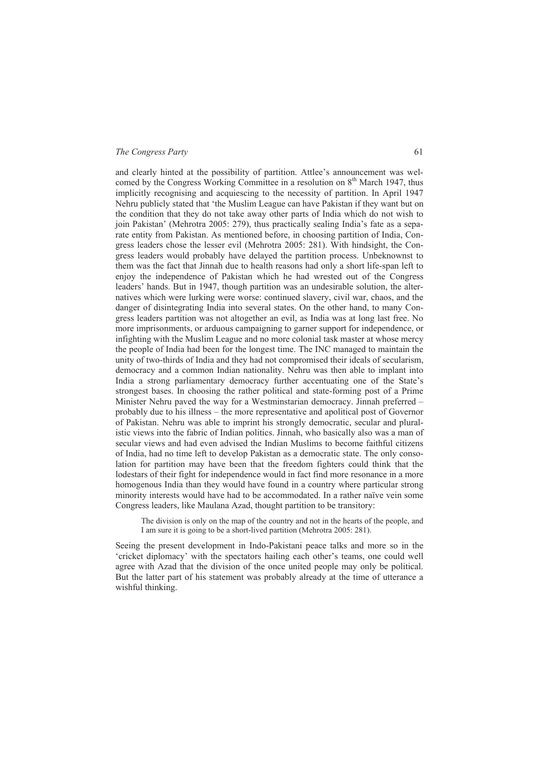and clearly hinted at the possibility of partition. Attlee's announcement was welcomed by the Congress Working Committee in a resolution on  $8<sup>th</sup>$  March 1947, thus implicitly recognising and acquiescing to the necessity of partition. In April 1947 Nehru publicly stated that 'the Muslim League can have Pakistan if they want but on the condition that they do not take away other parts of India which do not wish to join Pakistan' (Mehrotra 2005: 279), thus practically sealing India's fate as a separate entity from Pakistan. As mentioned before, in choosing partition of India, Congress leaders chose the lesser evil (Mehrotra 2005: 281). With hindsight, the Congress leaders would probably have delayed the partition process. Unbeknownst to them was the fact that Jinnah due to health reasons had only a short life-span left to enjoy the independence of Pakistan which he had wrested out of the Congress leaders' hands. But in 1947, though partition was an undesirable solution, the alternatives which were lurking were worse: continued slavery, civil war, chaos, and the danger of disintegrating India into several states. On the other hand, to many Congress leaders partition was not altogether an evil, as India was at long last free. No more imprisonments, or arduous campaigning to garner support for independence, or infighting with the Muslim League and no more colonial task master at whose mercy the people of India had been for the longest time. The INC managed to maintain the unity of two-thirds of India and they had not compromised their ideals of secularism, democracy and a common Indian nationality. Nehru was then able to implant into India a strong parliamentary democracy further accentuating one of the State's strongest bases. In choosing the rather political and state-forming post of a Prime Minister Nehru paved the way for a Westminstarian democracy. Jinnah preferred – probably due to his illness – the more representative and apolitical post of Governor of Pakistan. Nehru was able to imprint his strongly democratic, secular and pluralistic views into the fabric of Indian politics. Jinnah, who basically also was a man of secular views and had even advised the Indian Muslims to become faithful citizens of India, had no time left to develop Pakistan as a democratic state. The only consolation for partition may have been that the freedom fighters could think that the lodestars of their fight for independence would in fact find more resonance in a more homogenous India than they would have found in a country where particular strong minority interests would have had to be accommodated. In a rather naïve vein some Congress leaders, like Maulana Azad, thought partition to be transitory:

The division is only on the map of the country and not in the hearts of the people, and I am sure it is going to be a short-lived partition (Mehrotra 2005: 281).

Seeing the present development in Indo-Pakistani peace talks and more so in the 'cricket diplomacy' with the spectators hailing each other's teams, one could well agree with Azad that the division of the once united people may only be political. But the latter part of his statement was probably already at the time of utterance a wishful thinking.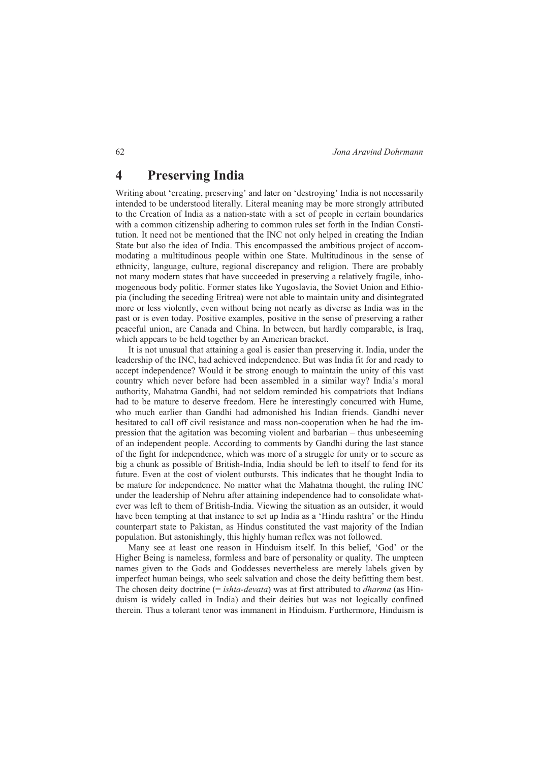## **4 Preserving India**

Writing about 'creating, preserving' and later on 'destroying' India is not necessarily intended to be understood literally. Literal meaning may be more strongly attributed to the Creation of India as a nation-state with a set of people in certain boundaries with a common citizenship adhering to common rules set forth in the Indian Constitution. It need not be mentioned that the INC not only helped in creating the Indian State but also the idea of India. This encompassed the ambitious project of accommodating a multitudinous people within one State. Multitudinous in the sense of ethnicity, language, culture, regional discrepancy and religion. There are probably not many modern states that have succeeded in preserving a relatively fragile, inhomogeneous body politic. Former states like Yugoslavia, the Soviet Union and Ethiopia (including the seceding Eritrea) were not able to maintain unity and disintegrated more or less violently, even without being not nearly as diverse as India was in the past or is even today. Positive examples, positive in the sense of preserving a rather peaceful union, are Canada and China. In between, but hardly comparable, is Iraq, which appears to be held together by an American bracket.

It is not unusual that attaining a goal is easier than preserving it. India, under the leadership of the INC, had achieved independence. But was India fit for and ready to accept independence? Would it be strong enough to maintain the unity of this vast country which never before had been assembled in a similar way? India's moral authority, Mahatma Gandhi, had not seldom reminded his compatriots that Indians had to be mature to deserve freedom. Here he interestingly concurred with Hume, who much earlier than Gandhi had admonished his Indian friends. Gandhi never hesitated to call off civil resistance and mass non-cooperation when he had the impression that the agitation was becoming violent and barbarian – thus unbeseeming of an independent people. According to comments by Gandhi during the last stance of the fight for independence, which was more of a struggle for unity or to secure as big a chunk as possible of British-India, India should be left to itself to fend for its future. Even at the cost of violent outbursts. This indicates that he thought India to be mature for independence. No matter what the Mahatma thought, the ruling INC under the leadership of Nehru after attaining independence had to consolidate whatever was left to them of British-India. Viewing the situation as an outsider, it would have been tempting at that instance to set up India as a 'Hindu rashtra' or the Hindu counterpart state to Pakistan, as Hindus constituted the vast majority of the Indian population. But astonishingly, this highly human reflex was not followed.

Many see at least one reason in Hinduism itself. In this belief, 'God' or the Higher Being is nameless, formless and bare of personality or quality. The umpteen names given to the Gods and Goddesses nevertheless are merely labels given by imperfect human beings, who seek salvation and chose the deity befitting them best. The chosen deity doctrine (= *ishta-devata*) was at first attributed to *dharma* (as Hinduism is widely called in India) and their deities but was not logically confined therein. Thus a tolerant tenor was immanent in Hinduism. Furthermore, Hinduism is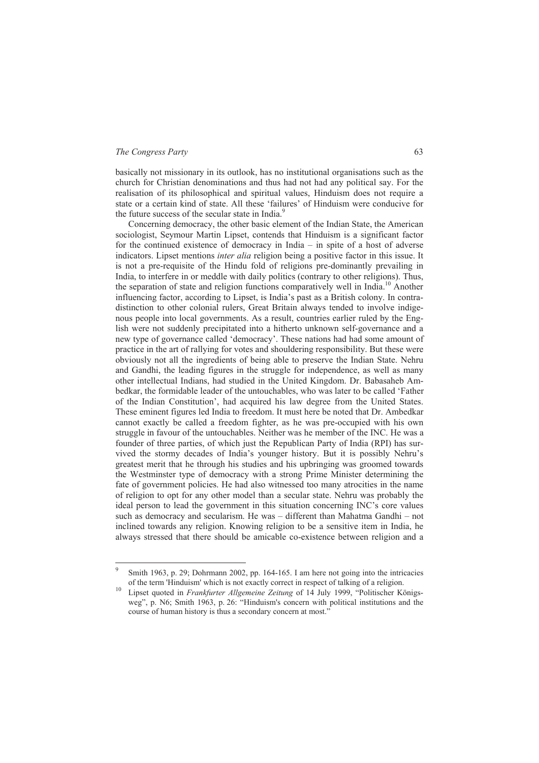-

basically not missionary in its outlook, has no institutional organisations such as the church for Christian denominations and thus had not had any political say. For the realisation of its philosophical and spiritual values, Hinduism does not require a state or a certain kind of state. All these 'failures' of Hinduism were conducive for the future success of the secular state in India.<sup>9</sup>

Concerning democracy, the other basic element of the Indian State, the American sociologist, Seymour Martin Lipset, contends that Hinduism is a significant factor for the continued existence of democracy in India – in spite of a host of adverse indicators. Lipset mentions *inter alia* religion being a positive factor in this issue. It is not a pre-requisite of the Hindu fold of religions pre-dominantly prevailing in India, to interfere in or meddle with daily politics (contrary to other religions). Thus, the separation of state and religion functions comparatively well in India.<sup>10</sup> Another influencing factor, according to Lipset, is India's past as a British colony. In contradistinction to other colonial rulers, Great Britain always tended to involve indigenous people into local governments. As a result, countries earlier ruled by the English were not suddenly precipitated into a hitherto unknown self-governance and a new type of governance called 'democracy'. These nations had had some amount of practice in the art of rallying for votes and shouldering responsibility. But these were obviously not all the ingredients of being able to preserve the Indian State. Nehru and Gandhi, the leading figures in the struggle for independence, as well as many other intellectual Indians, had studied in the United Kingdom. Dr. Babasaheb Ambedkar, the formidable leader of the untouchables, who was later to be called 'Father of the Indian Constitution', had acquired his law degree from the United States. These eminent figures led India to freedom. It must here be noted that Dr. Ambedkar cannot exactly be called a freedom fighter, as he was pre-occupied with his own struggle in favour of the untouchables. Neither was he member of the INC. He was a founder of three parties, of which just the Republican Party of India (RPI) has survived the stormy decades of India's younger history. But it is possibly Nehru's greatest merit that he through his studies and his upbringing was groomed towards the Westminster type of democracy with a strong Prime Minister determining the fate of government policies. He had also witnessed too many atrocities in the name of religion to opt for any other model than a secular state. Nehru was probably the ideal person to lead the government in this situation concerning INC's core values such as democracy and secularism. He was – different than Mahatma Gandhi – not inclined towards any religion. Knowing religion to be a sensitive item in India, he always stressed that there should be amicable co-existence between religion and a

<sup>9</sup> Smith 1963, p. 29; Dohrmann 2002, pp. 164-165. I am here not going into the intricacies of the term 'Hinduism' which is not exactly correct in respect of talking of a religion. 10 Lipset quoted in *Frankfurter Allgemeine Zeitung* of 14 July 1999, "Politischer Königs-

weg", p. N6; Smith 1963, p. 26: "Hinduism's concern with political institutions and the course of human history is thus a secondary concern at most."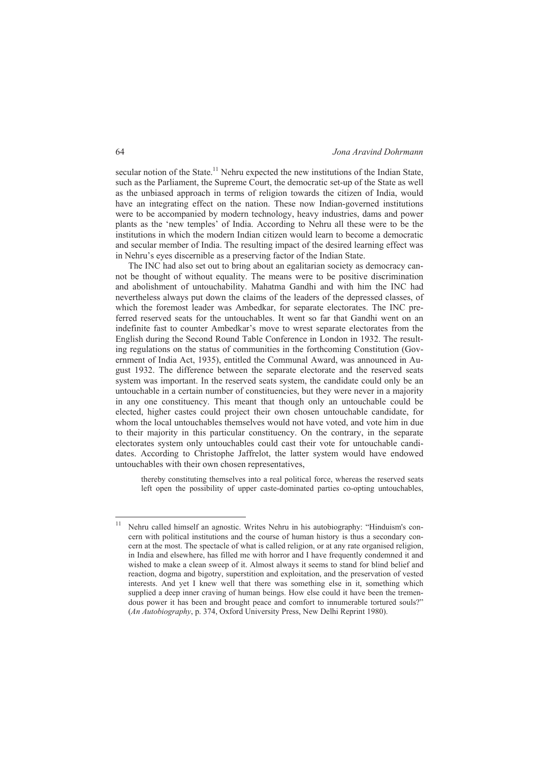secular notion of the State.<sup>11</sup> Nehru expected the new institutions of the Indian State, such as the Parliament, the Supreme Court, the democratic set-up of the State as well as the unbiased approach in terms of religion towards the citizen of India, would have an integrating effect on the nation. These now Indian-governed institutions were to be accompanied by modern technology, heavy industries, dams and power plants as the 'new temples' of India. According to Nehru all these were to be the institutions in which the modern Indian citizen would learn to become a democratic and secular member of India. The resulting impact of the desired learning effect was in Nehru's eyes discernible as a preserving factor of the Indian State.

The INC had also set out to bring about an egalitarian society as democracy cannot be thought of without equality. The means were to be positive discrimination and abolishment of untouchability. Mahatma Gandhi and with him the INC had nevertheless always put down the claims of the leaders of the depressed classes, of which the foremost leader was Ambedkar, for separate electorates. The INC preferred reserved seats for the untouchables. It went so far that Gandhi went on an indefinite fast to counter Ambedkar's move to wrest separate electorates from the English during the Second Round Table Conference in London in 1932. The resulting regulations on the status of communities in the forthcoming Constitution (Government of India Act, 1935), entitled the Communal Award, was announced in August 1932. The difference between the separate electorate and the reserved seats system was important. In the reserved seats system, the candidate could only be an untouchable in a certain number of constituencies, but they were never in a majority in any one constituency. This meant that though only an untouchable could be elected, higher castes could project their own chosen untouchable candidate, for whom the local untouchables themselves would not have voted, and vote him in due to their majority in this particular constituency. On the contrary, in the separate electorates system only untouchables could cast their vote for untouchable candidates. According to Christophe Jaffrelot, the latter system would have endowed untouchables with their own chosen representatives,

thereby constituting themselves into a real political force, whereas the reserved seats left open the possibility of upper caste-dominated parties co-opting untouchables,

-

<sup>11</sup> Nehru called himself an agnostic. Writes Nehru in his autobiography: "Hinduism's concern with political institutions and the course of human history is thus a secondary concern at the most. The spectacle of what is called religion, or at any rate organised religion, in India and elsewhere, has filled me with horror and I have frequently condemned it and wished to make a clean sweep of it. Almost always it seems to stand for blind belief and reaction, dogma and bigotry, superstition and exploitation, and the preservation of vested interests. And yet I knew well that there was something else in it, something which supplied a deep inner craving of human beings. How else could it have been the tremendous power it has been and brought peace and comfort to innumerable tortured souls?" (*An Autobiography*, p. 374, Oxford University Press, New Delhi Reprint 1980).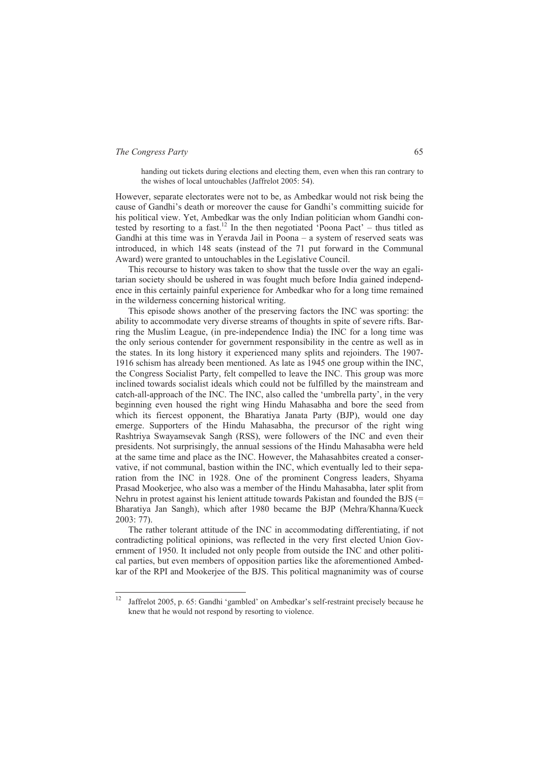handing out tickets during elections and electing them, even when this ran contrary to the wishes of local untouchables (Jaffrelot 2005: 54).

However, separate electorates were not to be, as Ambedkar would not risk being the cause of Gandhi's death or moreover the cause for Gandhi's committing suicide for his political view. Yet, Ambedkar was the only Indian politician whom Gandhi contested by resorting to a fast.<sup>12</sup> In the then negotiated  $\cdot$ Poona Pact' – thus titled as Gandhi at this time was in Yeravda Jail in Poona – a system of reserved seats was introduced, in which 148 seats (instead of the 71 put forward in the Communal Award) were granted to untouchables in the Legislative Council.

This recourse to history was taken to show that the tussle over the way an egalitarian society should be ushered in was fought much before India gained independence in this certainly painful experience for Ambedkar who for a long time remained in the wilderness concerning historical writing.

This episode shows another of the preserving factors the INC was sporting: the ability to accommodate very diverse streams of thoughts in spite of severe rifts. Barring the Muslim League, (in pre-independence India) the INC for a long time was the only serious contender for government responsibility in the centre as well as in the states. In its long history it experienced many splits and rejoinders. The 1907- 1916 schism has already been mentioned. As late as 1945 one group within the INC, the Congress Socialist Party, felt compelled to leave the INC. This group was more inclined towards socialist ideals which could not be fulfilled by the mainstream and catch-all-approach of the INC. The INC, also called the 'umbrella party', in the very beginning even housed the right wing Hindu Mahasabha and bore the seed from which its fiercest opponent, the Bharatiya Janata Party (BJP), would one day emerge. Supporters of the Hindu Mahasabha, the precursor of the right wing Rashtriya Swayamsevak Sangh (RSS), were followers of the INC and even their presidents. Not surprisingly, the annual sessions of the Hindu Mahasabha were held at the same time and place as the INC. However, the Mahasahbites created a conservative, if not communal, bastion within the INC, which eventually led to their separation from the INC in 1928. One of the prominent Congress leaders, Shyama Prasad Mookerjee, who also was a member of the Hindu Mahasabha, later split from Nehru in protest against his lenient attitude towards Pakistan and founded the BJS (= Bharatiya Jan Sangh), which after 1980 became the BJP (Mehra/Khanna/Kueck 2003: 77).

The rather tolerant attitude of the INC in accommodating differentiating, if not contradicting political opinions, was reflected in the very first elected Union Government of 1950. It included not only people from outside the INC and other political parties, but even members of opposition parties like the aforementioned Ambedkar of the RPI and Mookerjee of the BJS. This political magnanimity was of course

 $12$ 12 Jaffrelot 2005, p. 65: Gandhi 'gambled' on Ambedkar's self-restraint precisely because he knew that he would not respond by resorting to violence.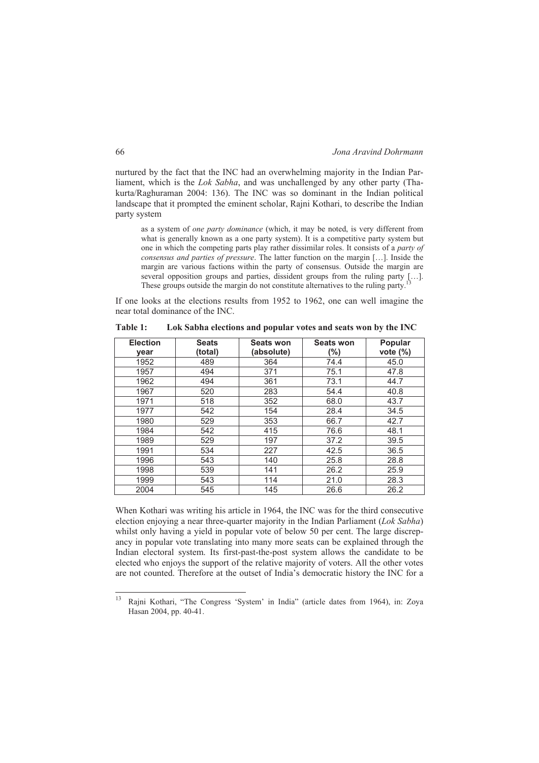nurtured by the fact that the INC had an overwhelming majority in the Indian Parliament, which is the *Lok Sabha*, and was unchallenged by any other party (Thakurta/Raghuraman 2004: 136). The INC was so dominant in the Indian political landscape that it prompted the eminent scholar, Rajni Kothari, to describe the Indian party system

as a system of *one party dominance* (which, it may be noted, is very different from what is generally known as a one party system). It is a competitive party system but one in which the competing parts play rather dissimilar roles. It consists of a *party of consensus and parties of pressure*. The latter function on the margin […]. Inside the margin are various factions within the party of consensus. Outside the margin are several opposition groups and parties, dissident groups from the ruling party […]. These groups outside the margin do not constitute alternatives to the ruling party.

If one looks at the elections results from 1952 to 1962, one can well imagine the near total dominance of the INC.

| <b>Election</b> | <b>Seats</b> | <b>Seats won</b> | <b>Seats won</b> | Popular     |  |
|-----------------|--------------|------------------|------------------|-------------|--|
| vear            | (total)      | (absolute)       | (%)              | vote $(\%)$ |  |
| 1952            | 489          | 364              | 74.4             | 45.0        |  |
| 1957            | 494          | 371              | 75.1             | 47.8        |  |
| 1962            | 494          | 361              | 73.1             | 44.7        |  |
| 1967            | 520          | 283              | 54.4             | 40.8        |  |
| 1971            | 518          | 352              | 68.0             | 43.7        |  |
| 1977            | 542          | 154              | 28.4             | 34.5        |  |
| 1980            | 529          | 353              | 66.7             | 42.7        |  |
| 1984            | 542          | 415              | 76.6             | 48.1        |  |
| 1989            | 529          | 197              | 37.2             | 39.5        |  |
| 1991            | 534          | 227              | 42.5             | 36.5        |  |
| 1996            | 543          | 140              | 25.8             | 28.8        |  |
| 1998            | 539          | 141              | 26.2             | 25.9        |  |
| 1999            | 543          | 114              | 21.0             | 28.3        |  |
| 2004            | 545          | 145              | 26.6             | 26.2        |  |

**Table 1: Lok Sabha elections and popular votes and seats won by the INC** 

When Kothari was writing his article in 1964, the INC was for the third consecutive election enjoying a near three-quarter majority in the Indian Parliament (*Lok Sabha*) whilst only having a yield in popular vote of below 50 per cent. The large discrepancy in popular vote translating into many more seats can be explained through the Indian electoral system. Its first-past-the-post system allows the candidate to be elected who enjoys the support of the relative majority of voters. All the other votes are not counted. Therefore at the outset of India's democratic history the INC for a

<sup>13</sup> 13 Rajni Kothari, "The Congress 'System' in India" (article dates from 1964), in: Zoya Hasan 2004, pp. 40-41.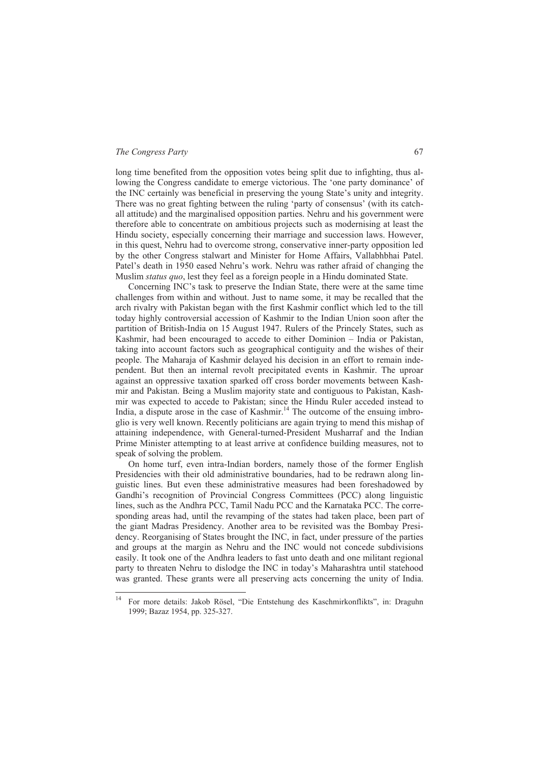-

long time benefited from the opposition votes being split due to infighting, thus allowing the Congress candidate to emerge victorious. The 'one party dominance' of the INC certainly was beneficial in preserving the young State's unity and integrity. There was no great fighting between the ruling 'party of consensus' (with its catchall attitude) and the marginalised opposition parties. Nehru and his government were therefore able to concentrate on ambitious projects such as modernising at least the Hindu society, especially concerning their marriage and succession laws. However, in this quest, Nehru had to overcome strong, conservative inner-party opposition led by the other Congress stalwart and Minister for Home Affairs, Vallabhbhai Patel. Patel's death in 1950 eased Nehru's work. Nehru was rather afraid of changing the Muslim *status quo*, lest they feel as a foreign people in a Hindu dominated State.

Concerning INC's task to preserve the Indian State, there were at the same time challenges from within and without. Just to name some, it may be recalled that the arch rivalry with Pakistan began with the first Kashmir conflict which led to the till today highly controversial accession of Kashmir to the Indian Union soon after the partition of British-India on 15 August 1947. Rulers of the Princely States, such as Kashmir, had been encouraged to accede to either Dominion – India or Pakistan, taking into account factors such as geographical contiguity and the wishes of their people. The Maharaja of Kashmir delayed his decision in an effort to remain independent. But then an internal revolt precipitated events in Kashmir. The uproar against an oppressive taxation sparked off cross border movements between Kashmir and Pakistan. Being a Muslim majority state and contiguous to Pakistan, Kashmir was expected to accede to Pakistan; since the Hindu Ruler acceded instead to India, a dispute arose in the case of Kashmir.<sup>14</sup> The outcome of the ensuing imbroglio is very well known. Recently politicians are again trying to mend this mishap of attaining independence, with General-turned-President Musharraf and the Indian Prime Minister attempting to at least arrive at confidence building measures, not to speak of solving the problem.

On home turf, even intra-Indian borders, namely those of the former English Presidencies with their old administrative boundaries, had to be redrawn along linguistic lines. But even these administrative measures had been foreshadowed by Gandhi's recognition of Provincial Congress Committees (PCC) along linguistic lines, such as the Andhra PCC, Tamil Nadu PCC and the Karnataka PCC. The corresponding areas had, until the revamping of the states had taken place, been part of the giant Madras Presidency. Another area to be revisited was the Bombay Presidency. Reorganising of States brought the INC, in fact, under pressure of the parties and groups at the margin as Nehru and the INC would not concede subdivisions easily. It took one of the Andhra leaders to fast unto death and one militant regional party to threaten Nehru to dislodge the INC in today's Maharashtra until statehood was granted. These grants were all preserving acts concerning the unity of India.

<sup>14</sup> For more details: Jakob Rösel, "Die Entstehung des Kaschmirkonflikts", in: Draguhn 1999; Bazaz 1954, pp. 325-327.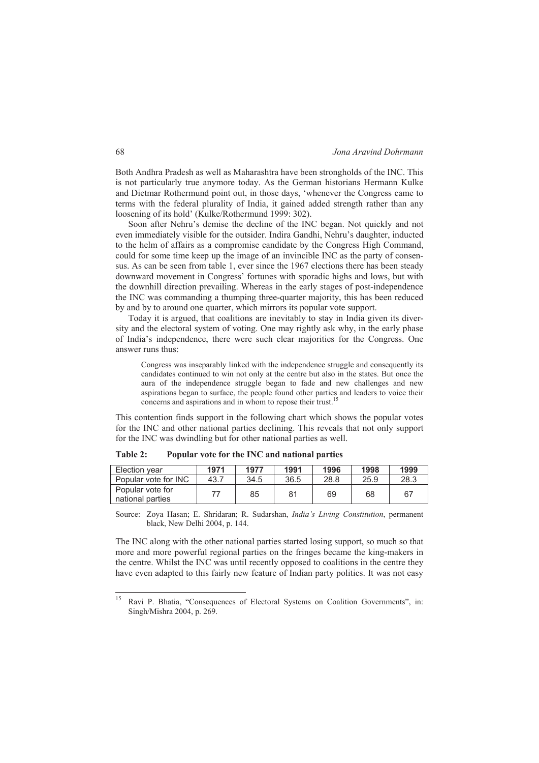Both Andhra Pradesh as well as Maharashtra have been strongholds of the INC. This is not particularly true anymore today. As the German historians Hermann Kulke and Dietmar Rothermund point out, in those days, 'whenever the Congress came to terms with the federal plurality of India, it gained added strength rather than any loosening of its hold' (Kulke/Rothermund 1999: 302).

Soon after Nehru's demise the decline of the INC began. Not quickly and not even immediately visible for the outsider. Indira Gandhi, Nehru's daughter, inducted to the helm of affairs as a compromise candidate by the Congress High Command, could for some time keep up the image of an invincible INC as the party of consensus. As can be seen from table 1, ever since the 1967 elections there has been steady downward movement in Congress' fortunes with sporadic highs and lows, but with the downhill direction prevailing. Whereas in the early stages of post-independence the INC was commanding a thumping three-quarter majority, this has been reduced by and by to around one quarter, which mirrors its popular vote support.

Today it is argued, that coalitions are inevitably to stay in India given its diversity and the electoral system of voting. One may rightly ask why, in the early phase of India's independence, there were such clear majorities for the Congress. One answer runs thus:

Congress was inseparably linked with the independence struggle and consequently its candidates continued to win not only at the centre but also in the states. But once the aura of the independence struggle began to fade and new challenges and new aspirations began to surface, the people found other parties and leaders to voice their concerns and aspirations and in whom to repose their trust.

This contention finds support in the following chart which shows the popular votes for the INC and other national parties declining. This reveals that not only support for the INC was dwindling but for other national parties as well.

| Election year                        | 1971 | 1977 | 1991 | 1996 | 1998 | 1999 |
|--------------------------------------|------|------|------|------|------|------|
| Popular vote for INC                 | 43.7 | 34.5 | 36.5 | 28.8 | 25.9 | 28.3 |
| Popular vote for<br>national parties |      | 85   | 81   | 69   | 68   | 67   |

**Table 2: Popular vote for the INC and national parties** 

Source: Zoya Hasan; E. Shridaran; R. Sudarshan, *India's Living Constitution*, permanent black, New Delhi 2004, p. 144.

The INC along with the other national parties started losing support, so much so that more and more powerful regional parties on the fringes became the king-makers in the centre. Whilst the INC was until recently opposed to coalitions in the centre they have even adapted to this fairly new feature of Indian party politics. It was not easy

<sup>15</sup> Ravi P. Bhatia, "Consequences of Electoral Systems on Coalition Governments", in: Singh/Mishra 2004, p. 269.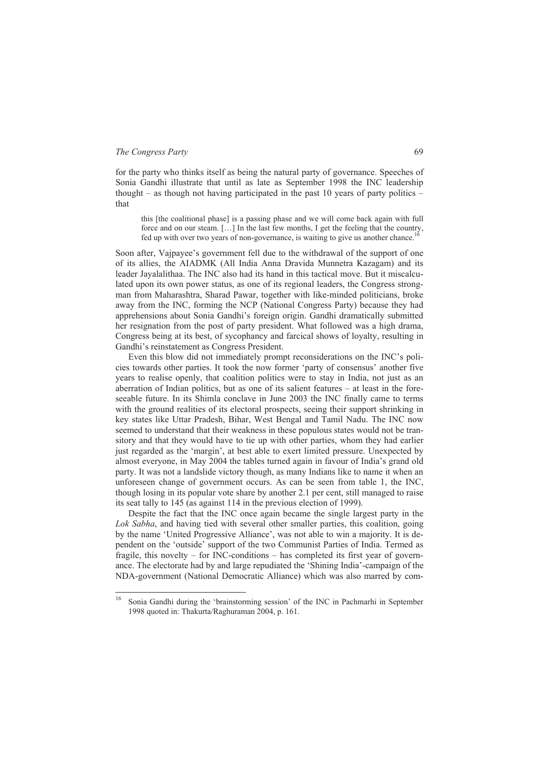for the party who thinks itself as being the natural party of governance. Speeches of Sonia Gandhi illustrate that until as late as September 1998 the INC leadership thought – as though not having participated in the past 10 years of party politics – that

this [the coalitional phase] is a passing phase and we will come back again with full force and on our steam. […] In the last few months, I get the feeling that the country, fed up with over two years of non-governance, is waiting to give us another chance.<sup>16</sup>

Soon after, Vajpayee's government fell due to the withdrawal of the support of one of its allies, the AIADMK (All India Anna Dravida Munnetra Kazagam) and its leader Jayalalithaa. The INC also had its hand in this tactical move. But it miscalculated upon its own power status, as one of its regional leaders, the Congress strongman from Maharashtra, Sharad Pawar, together with like-minded politicians, broke away from the INC, forming the NCP (National Congress Party) because they had apprehensions about Sonia Gandhi's foreign origin. Gandhi dramatically submitted her resignation from the post of party president. What followed was a high drama, Congress being at its best, of sycophancy and farcical shows of loyalty, resulting in Gandhi's reinstatement as Congress President.

Even this blow did not immediately prompt reconsiderations on the INC's policies towards other parties. It took the now former 'party of consensus' another five years to realise openly, that coalition politics were to stay in India, not just as an aberration of Indian politics, but as one of its salient features – at least in the foreseeable future. In its Shimla conclave in June 2003 the INC finally came to terms with the ground realities of its electoral prospects, seeing their support shrinking in key states like Uttar Pradesh, Bihar, West Bengal and Tamil Nadu. The INC now seemed to understand that their weakness in these populous states would not be transitory and that they would have to tie up with other parties, whom they had earlier just regarded as the 'margin', at best able to exert limited pressure. Unexpected by almost everyone, in May 2004 the tables turned again in favour of India's grand old party. It was not a landslide victory though, as many Indians like to name it when an unforeseen change of government occurs. As can be seen from table 1, the INC, though losing in its popular vote share by another 2.1 per cent, still managed to raise its seat tally to 145 (as against 114 in the previous election of 1999).

Despite the fact that the INC once again became the single largest party in the *Lok Sabha*, and having tied with several other smaller parties, this coalition, going by the name 'United Progressive Alliance', was not able to win a majority. It is dependent on the 'outside' support of the two Communist Parties of India. Termed as fragile, this novelty – for INC-conditions – has completed its first year of governance. The electorate had by and large repudiated the 'Shining India'-campaign of the NDA-government (National Democratic Alliance) which was also marred by com-

<sup>16</sup> 16 Sonia Gandhi during the 'brainstorming session' of the INC in Pachmarhi in September 1998 quoted in: Thakurta/Raghuraman 2004, p. 161.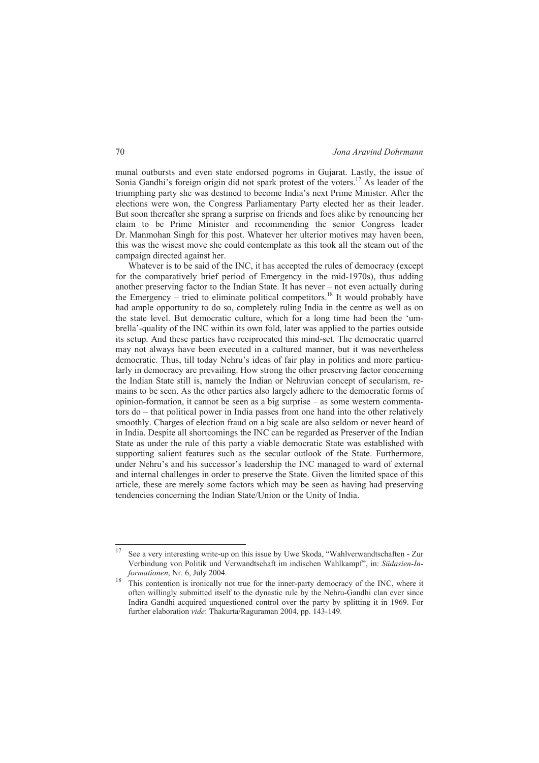munal outbursts and even state endorsed pogroms in Gujarat. Lastly, the issue of Sonia Gandhi's foreign origin did not spark protest of the voters.<sup>17</sup> As leader of the triumphing party she was destined to become India's next Prime Minister. After the elections were won, the Congress Parliamentary Party elected her as their leader. But soon thereafter she sprang a surprise on friends and foes alike by renouncing her claim to be Prime Minister and recommending the senior Congress leader Dr. Manmohan Singh for this post. Whatever her ulterior motives may haven been, this was the wisest move she could contemplate as this took all the steam out of the campaign directed against her.

Whatever is to be said of the INC, it has accepted the rules of democracy (except for the comparatively brief period of Emergency in the mid-1970s), thus adding another preserving factor to the Indian State. It has never – not even actually during the Emergency – tried to eliminate political competitors.<sup>18</sup> It would probably have had ample opportunity to do so, completely ruling India in the centre as well as on the state level. But democratic culture, which for a long time had been the 'umbrella'-quality of the INC within its own fold, later was applied to the parties outside its setup. And these parties have reciprocated this mind-set. The democratic quarrel may not always have been executed in a cultured manner, but it was nevertheless democratic. Thus, till today Nehru's ideas of fair play in politics and more particularly in democracy are prevailing. How strong the other preserving factor concerning the Indian State still is, namely the Indian or Nehruvian concept of secularism, remains to be seen. As the other parties also largely adhere to the democratic forms of opinion-formation, it cannot be seen as a big surprise – as some western commentators do – that political power in India passes from one hand into the other relatively smoothly. Charges of election fraud on a big scale are also seldom or never heard of in India. Despite all shortcomings the INC can be regarded as Preserver of the Indian State as under the rule of this party a viable democratic State was established with supporting salient features such as the secular outlook of the State. Furthermore, under Nehru's and his successor's leadership the INC managed to ward of external and internal challenges in order to preserve the State. Given the limited space of this article, these are merely some factors which may be seen as having had preserving tendencies concerning the Indian State/Union or the Unity of India.

<sup>17</sup> 17 See a very interesting write-up on this issue by Uwe Skoda, "Wahlverwandtschaften - Zur Verbindung von Politik und Verwandtschaft im indischen Wahlkampf", in: *Südasien-Informationen*, Nr. 6, July 2004.<br><sup>18</sup> This contention is ironically not true for the inner-party democracy of the INC, where it

often willingly submitted itself to the dynastic rule by the Nehru-Gandhi clan ever since Indira Gandhi acquired unquestioned control over the party by splitting it in 1969. For further elaboration *vide*: Thakurta/Raguraman 2004, pp. 143-149.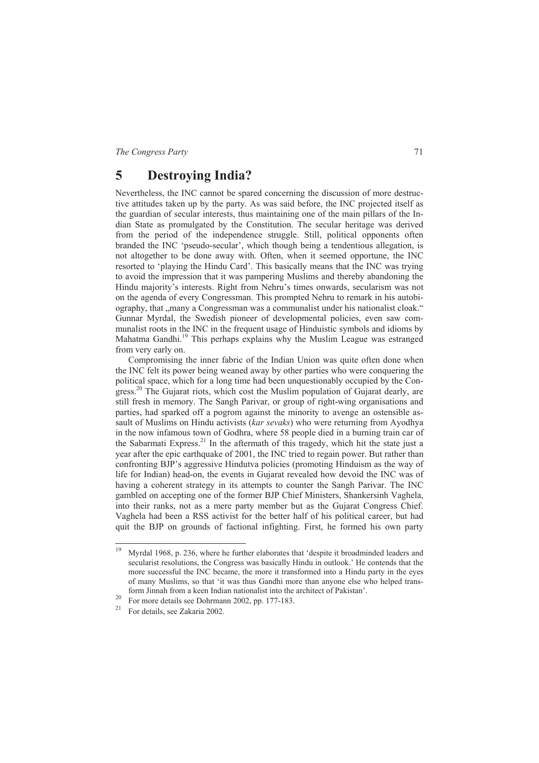## **5 Destroying India?**

Nevertheless, the INC cannot be spared concerning the discussion of more destructive attitudes taken up by the party. As was said before, the INC projected itself as the guardian of secular interests, thus maintaining one of the main pillars of the Indian State as promulgated by the Constitution. The secular heritage was derived from the period of the independence struggle. Still, political opponents often branded the INC 'pseudo-secular', which though being a tendentious allegation, is not altogether to be done away with. Often, when it seemed opportune, the INC resorted to 'playing the Hindu Card'. This basically means that the INC was trying to avoid the impression that it was pampering Muslims and thereby abandoning the Hindu majority's interests. Right from Nehru's times onwards, secularism was not on the agenda of every Congressman. This prompted Nehru to remark in his autobiography, that "many a Congressman was a communalist under his nationalist cloak." Gunnar Myrdal, the Swedish pioneer of developmental policies, even saw communalist roots in the INC in the frequent usage of Hinduistic symbols and idioms by Mahatma Gandhi.<sup>19</sup> This perhaps explains why the Muslim League was estranged from very early on.

Compromising the inner fabric of the Indian Union was quite often done when the INC felt its power being weaned away by other parties who were conquering the political space, which for a long time had been unquestionably occupied by the Congress.<sup>20</sup> The Gujarat riots, which cost the Muslim population of Gujarat dearly, are still fresh in memory. The Sangh Parivar, or group of right-wing organisations and parties, had sparked off a pogrom against the minority to avenge an ostensible assault of Muslims on Hindu activists (*kar sevaks*) who were returning from Ayodhya in the now infamous town of Godhra, where 58 people died in a burning train car of the Sabarmati Express.<sup>21</sup> In the aftermath of this tragedy, which hit the state just a year after the epic earthquake of 2001, the INC tried to regain power. But rather than confronting BJP's aggressive Hindutva policies (promoting Hinduism as the way of life for Indian) head-on, the events in Gujarat revealed how devoid the INC was of having a coherent strategy in its attempts to counter the Sangh Parivar. The INC gambled on accepting one of the former BJP Chief Ministers, Shankersinh Vaghela, into their ranks, not as a mere party member but as the Gujarat Congress Chief. Vaghela had been a RSS activist for the better half of his political career, but had quit the BJP on grounds of factional infighting. First, he formed his own party

<sup>19</sup> 19 Myrdal 1968, p. 236, where he further elaborates that 'despite it broadminded leaders and secularist resolutions, the Congress was basically Hindu in outlook.' He contends that the more successful the INC became, the more it transformed into a Hindu party in the eyes of many Muslims, so that 'it was thus Gandhi more than anyone else who helped transform Jinnah from a keen Indian nationalist into the architect of Pakistan'.<br><sup>20</sup> For more details see Dohrmann 2002, pp. 177-183.<br><sup>21</sup> For details see Zakaria 2002

<sup>21</sup> For details, see Zakaria 2002.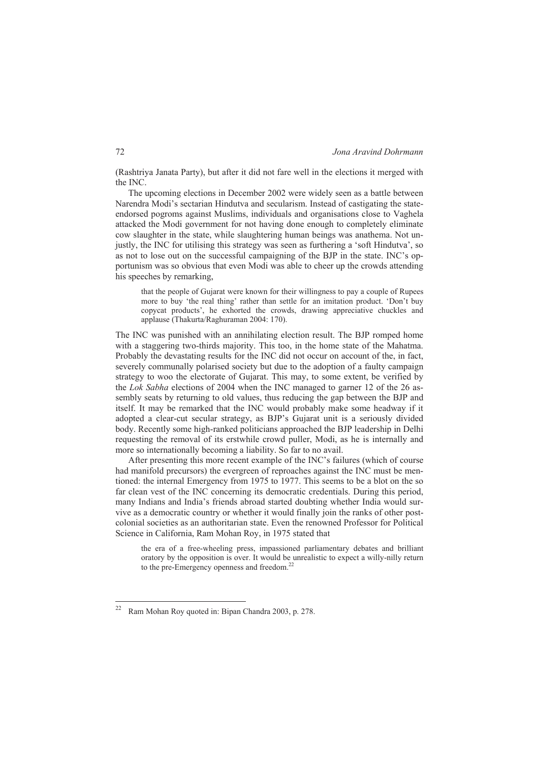(Rashtriya Janata Party), but after it did not fare well in the elections it merged with the INC.

The upcoming elections in December 2002 were widely seen as a battle between Narendra Modi's sectarian Hindutva and secularism. Instead of castigating the stateendorsed pogroms against Muslims, individuals and organisations close to Vaghela attacked the Modi government for not having done enough to completely eliminate cow slaughter in the state, while slaughtering human beings was anathema. Not unjustly, the INC for utilising this strategy was seen as furthering a 'soft Hindutva', so as not to lose out on the successful campaigning of the BJP in the state. INC's opportunism was so obvious that even Modi was able to cheer up the crowds attending his speeches by remarking,

that the people of Gujarat were known for their willingness to pay a couple of Rupees more to buy 'the real thing' rather than settle for an imitation product. 'Don't buy copycat products', he exhorted the crowds, drawing appreciative chuckles and applause (Thakurta/Raghuraman 2004: 170).

The INC was punished with an annihilating election result. The BJP romped home with a staggering two-thirds majority. This too, in the home state of the Mahatma. Probably the devastating results for the INC did not occur on account of the, in fact, severely communally polarised society but due to the adoption of a faulty campaign strategy to woo the electorate of Gujarat. This may, to some extent, be verified by the *Lok Sabha* elections of 2004 when the INC managed to garner 12 of the 26 assembly seats by returning to old values, thus reducing the gap between the BJP and itself. It may be remarked that the INC would probably make some headway if it adopted a clear-cut secular strategy, as BJP's Gujarat unit is a seriously divided body. Recently some high-ranked politicians approached the BJP leadership in Delhi requesting the removal of its erstwhile crowd puller, Modi, as he is internally and more so internationally becoming a liability. So far to no avail.

After presenting this more recent example of the INC's failures (which of course had manifold precursors) the evergreen of reproaches against the INC must be mentioned: the internal Emergency from 1975 to 1977. This seems to be a blot on the so far clean vest of the INC concerning its democratic credentials. During this period, many Indians and India's friends abroad started doubting whether India would survive as a democratic country or whether it would finally join the ranks of other postcolonial societies as an authoritarian state. Even the renowned Professor for Political Science in California, Ram Mohan Roy, in 1975 stated that

the era of a free-wheeling press, impassioned parliamentary debates and brilliant oratory by the opposition is over. It would be unrealistic to expect a willy-nilly return to the pre-Emergency openness and freedom.<sup>2</sup>

 $22$ 22 Ram Mohan Roy quoted in: Bipan Chandra 2003, p. 278.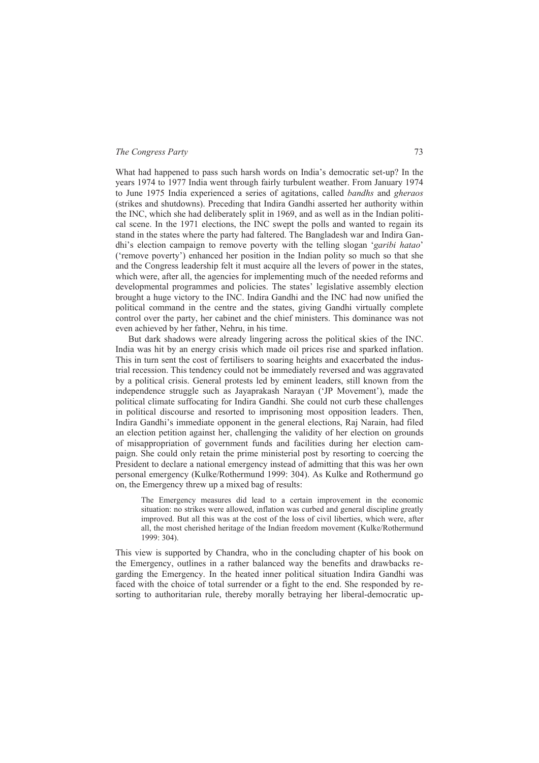What had happened to pass such harsh words on India's democratic set-up? In the years 1974 to 1977 India went through fairly turbulent weather. From January 1974 to June 1975 India experienced a series of agitations, called *bandhs* and *gheraos*  (strikes and shutdowns). Preceding that Indira Gandhi asserted her authority within the INC, which she had deliberately split in 1969, and as well as in the Indian political scene. In the 1971 elections, the INC swept the polls and wanted to regain its stand in the states where the party had faltered. The Bangladesh war and Indira Gandhi's election campaign to remove poverty with the telling slogan '*garibi hatao*' ('remove poverty') enhanced her position in the Indian polity so much so that she and the Congress leadership felt it must acquire all the levers of power in the states, which were, after all, the agencies for implementing much of the needed reforms and developmental programmes and policies. The states' legislative assembly election brought a huge victory to the INC. Indira Gandhi and the INC had now unified the political command in the centre and the states, giving Gandhi virtually complete control over the party, her cabinet and the chief ministers. This dominance was not even achieved by her father, Nehru, in his time.

But dark shadows were already lingering across the political skies of the INC. India was hit by an energy crisis which made oil prices rise and sparked inflation. This in turn sent the cost of fertilisers to soaring heights and exacerbated the industrial recession. This tendency could not be immediately reversed and was aggravated by a political crisis. General protests led by eminent leaders, still known from the independence struggle such as Jayaprakash Narayan ('JP Movement'), made the political climate suffocating for Indira Gandhi. She could not curb these challenges in political discourse and resorted to imprisoning most opposition leaders. Then, Indira Gandhi's immediate opponent in the general elections, Raj Narain, had filed an election petition against her, challenging the validity of her election on grounds of misappropriation of government funds and facilities during her election campaign. She could only retain the prime ministerial post by resorting to coercing the President to declare a national emergency instead of admitting that this was her own personal emergency (Kulke/Rothermund 1999: 304). As Kulke and Rothermund go on, the Emergency threw up a mixed bag of results:

The Emergency measures did lead to a certain improvement in the economic situation: no strikes were allowed, inflation was curbed and general discipline greatly improved. But all this was at the cost of the loss of civil liberties, which were, after all, the most cherished heritage of the Indian freedom movement (Kulke/Rothermund 1999: 304).

This view is supported by Chandra, who in the concluding chapter of his book on the Emergency, outlines in a rather balanced way the benefits and drawbacks regarding the Emergency. In the heated inner political situation Indira Gandhi was faced with the choice of total surrender or a fight to the end. She responded by resorting to authoritarian rule, thereby morally betraying her liberal-democratic up-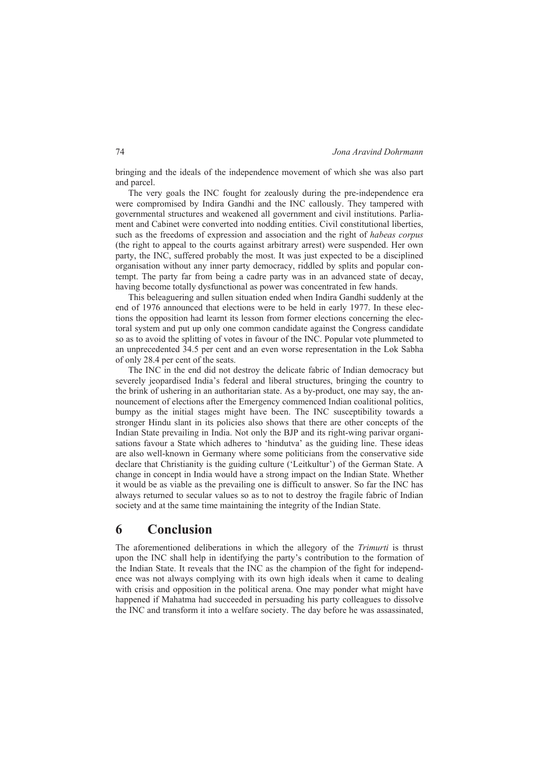bringing and the ideals of the independence movement of which she was also part and parcel.

The very goals the INC fought for zealously during the pre-independence era were compromised by Indira Gandhi and the INC callously. They tampered with governmental structures and weakened all government and civil institutions. Parliament and Cabinet were converted into nodding entities. Civil constitutional liberties, such as the freedoms of expression and association and the right of *habeas corpus* (the right to appeal to the courts against arbitrary arrest) were suspended. Her own party, the INC, suffered probably the most. It was just expected to be a disciplined organisation without any inner party democracy, riddled by splits and popular contempt. The party far from being a cadre party was in an advanced state of decay, having become totally dysfunctional as power was concentrated in few hands.

This beleaguering and sullen situation ended when Indira Gandhi suddenly at the end of 1976 announced that elections were to be held in early 1977. In these elections the opposition had learnt its lesson from former elections concerning the electoral system and put up only one common candidate against the Congress candidate so as to avoid the splitting of votes in favour of the INC. Popular vote plummeted to an unprecedented 34.5 per cent and an even worse representation in the Lok Sabha of only 28.4 per cent of the seats.

The INC in the end did not destroy the delicate fabric of Indian democracy but severely jeopardised India's federal and liberal structures, bringing the country to the brink of ushering in an authoritarian state. As a by-product, one may say, the announcement of elections after the Emergency commenced Indian coalitional politics, bumpy as the initial stages might have been. The INC susceptibility towards a stronger Hindu slant in its policies also shows that there are other concepts of the Indian State prevailing in India. Not only the BJP and its right-wing parivar organisations favour a State which adheres to 'hindutva' as the guiding line. These ideas are also well-known in Germany where some politicians from the conservative side declare that Christianity is the guiding culture ('Leitkultur') of the German State. A change in concept in India would have a strong impact on the Indian State. Whether it would be as viable as the prevailing one is difficult to answer. So far the INC has always returned to secular values so as to not to destroy the fragile fabric of Indian society and at the same time maintaining the integrity of the Indian State.

## **6 Conclusion**

The aforementioned deliberations in which the allegory of the *Trimurti* is thrust upon the INC shall help in identifying the party's contribution to the formation of the Indian State. It reveals that the INC as the champion of the fight for independence was not always complying with its own high ideals when it came to dealing with crisis and opposition in the political arena. One may ponder what might have happened if Mahatma had succeeded in persuading his party colleagues to dissolve the INC and transform it into a welfare society. The day before he was assassinated,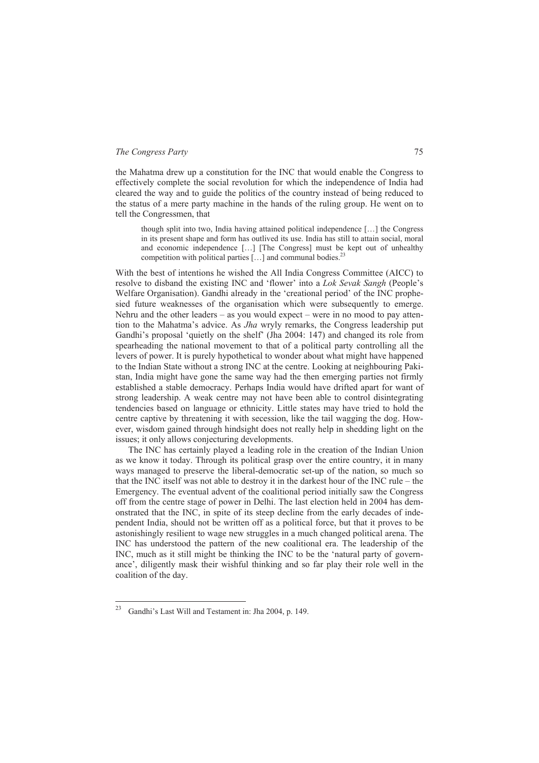the Mahatma drew up a constitution for the INC that would enable the Congress to effectively complete the social revolution for which the independence of India had cleared the way and to guide the politics of the country instead of being reduced to the status of a mere party machine in the hands of the ruling group. He went on to tell the Congressmen, that

though split into two, India having attained political independence […] the Congress in its present shape and form has outlived its use. India has still to attain social, moral and economic independence  $[\dots]$  [The Congress] must be kept out of unhealthy competition with political parties [...] and communal bodies.

With the best of intentions he wished the All India Congress Committee (AICC) to resolve to disband the existing INC and 'flower' into a *Lok Sevak Sangh* (People's Welfare Organisation). Gandhi already in the 'creational period' of the INC prophesied future weaknesses of the organisation which were subsequently to emerge. Nehru and the other leaders – as you would expect – were in no mood to pay attention to the Mahatma's advice. As *Jha* wryly remarks, the Congress leadership put Gandhi's proposal 'quietly on the shelf' (Jha 2004: 147) and changed its role from spearheading the national movement to that of a political party controlling all the levers of power. It is purely hypothetical to wonder about what might have happened to the Indian State without a strong INC at the centre. Looking at neighbouring Pakistan, India might have gone the same way had the then emerging parties not firmly established a stable democracy. Perhaps India would have drifted apart for want of strong leadership. A weak centre may not have been able to control disintegrating tendencies based on language or ethnicity. Little states may have tried to hold the centre captive by threatening it with secession, like the tail wagging the dog. However, wisdom gained through hindsight does not really help in shedding light on the issues; it only allows conjecturing developments.

The INC has certainly played a leading role in the creation of the Indian Union as we know it today. Through its political grasp over the entire country, it in many ways managed to preserve the liberal-democratic set-up of the nation, so much so that the INC itself was not able to destroy it in the darkest hour of the INC rule – the Emergency. The eventual advent of the coalitional period initially saw the Congress off from the centre stage of power in Delhi. The last election held in 2004 has demonstrated that the INC, in spite of its steep decline from the early decades of independent India, should not be written off as a political force, but that it proves to be astonishingly resilient to wage new struggles in a much changed political arena. The INC has understood the pattern of the new coalitional era. The leadership of the INC, much as it still might be thinking the INC to be the 'natural party of governance', diligently mask their wishful thinking and so far play their role well in the coalition of the day.

 $23\,$ 23 Gandhi's Last Will and Testament in: Jha 2004, p. 149.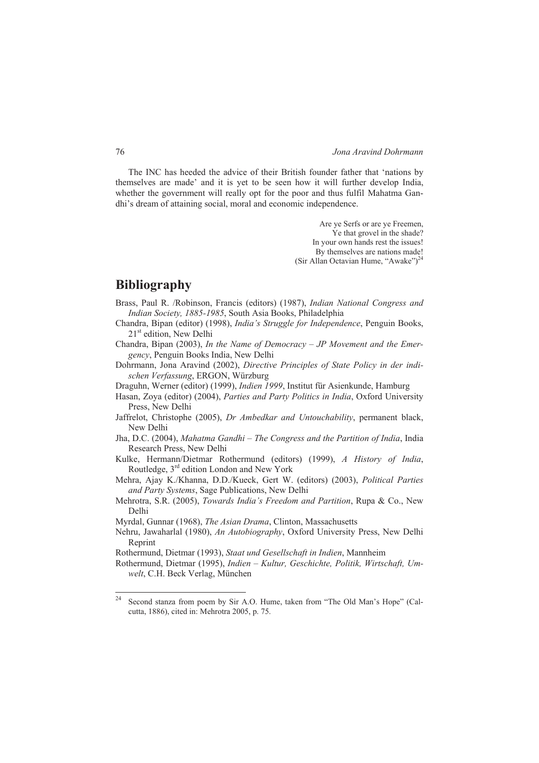The INC has heeded the advice of their British founder father that 'nations by themselves are made' and it is yet to be seen how it will further develop India, whether the government will really opt for the poor and thus fulfil Mahatma Gandhi's dream of attaining social, moral and economic independence.

> Are ye Serfs or are ye Freemen, Ye that grovel in the shade? In your own hands rest the issues! By themselves are nations made! (Sir Allan Octavian Hume, "Awake")<sup>24</sup>

## **Bibliography**

- Brass, Paul R. /Robinson, Francis (editors) (1987), *Indian National Congress and Indian Society, 1885-1985*, South Asia Books, Philadelphia
- Chandra, Bipan (editor) (1998), *India's Struggle for Independence*, Penguin Books, 21<sup>st</sup> edition, New Delhi
- Chandra, Bipan (2003), *In the Name of Democracy JP Movement and the Emergency*, Penguin Books India, New Delhi
- Dohrmann, Jona Aravind (2002), *Directive Principles of State Policy in der indischen Verfassung*, ERGON, Würzburg
- Draguhn, Werner (editor) (1999), *Indien 1999*, Institut für Asienkunde, Hamburg
- Hasan, Zoya (editor) (2004), *Parties and Party Politics in India*, Oxford University Press, New Delhi
- Jaffrelot, Christophe (2005), *Dr Ambedkar and Untouchability*, permanent black, New Delhi
- Jha, D.C. (2004), *Mahatma Gandhi The Congress and the Partition of India*, India Research Press, New Delhi
- Kulke, Hermann/Dietmar Rothermund (editors) (1999), *A History of India*, Routledge, 3rd edition London and New York
- Mehra, Ajay K./Khanna, D.D./Kueck, Gert W. (editors) (2003), *Political Parties and Party Systems*, Sage Publications, New Delhi
- Mehrotra, S.R. (2005), *Towards India's Freedom and Partition*, Rupa & Co., New Delhi

Myrdal, Gunnar (1968), *The Asian Drama*, Clinton, Massachusetts

Nehru, Jawaharlal (1980), *An Autobiography*, Oxford University Press, New Delhi Reprint

Rothermund, Dietmar (1993), *Staat und Gesellschaft in Indien*, Mannheim

Rothermund, Dietmar (1995), *Indien – Kultur, Geschichte, Politik, Wirtschaft, Umwelt*, C.H. Beck Verlag, München

 $24$ Second stanza from poem by Sir A.O. Hume, taken from "The Old Man's Hope" (Calcutta, 1886), cited in: Mehrotra 2005, p. 75.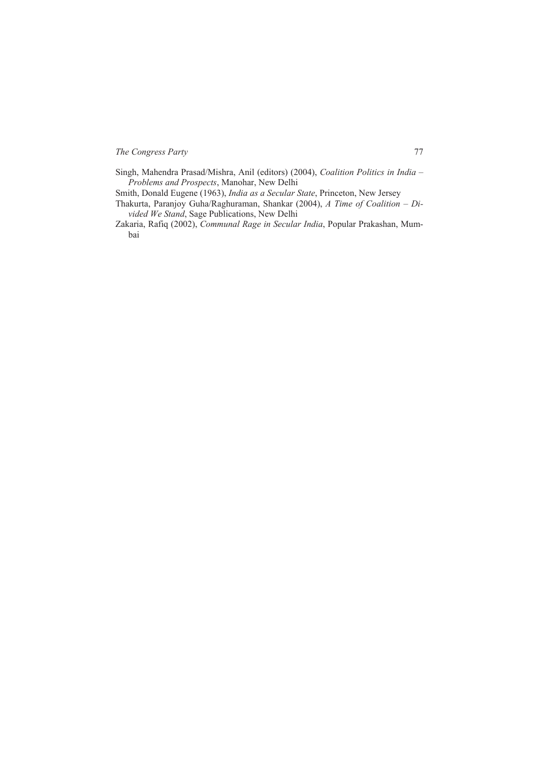Singh, Mahendra Prasad/Mishra, Anil (editors) (2004), *Coalition Politics in India – Problems and Prospects*, Manohar, New Delhi

Smith, Donald Eugene (1963), *India as a Secular State*, Princeton, New Jersey

- Thakurta, Paranjoy Guha/Raghuraman, Shankar (2004), *A Time of Coalition Divided We Stand*, Sage Publications, New Delhi
- Zakaria, Rafiq (2002), *Communal Rage in Secular India*, Popular Prakashan, Mumbai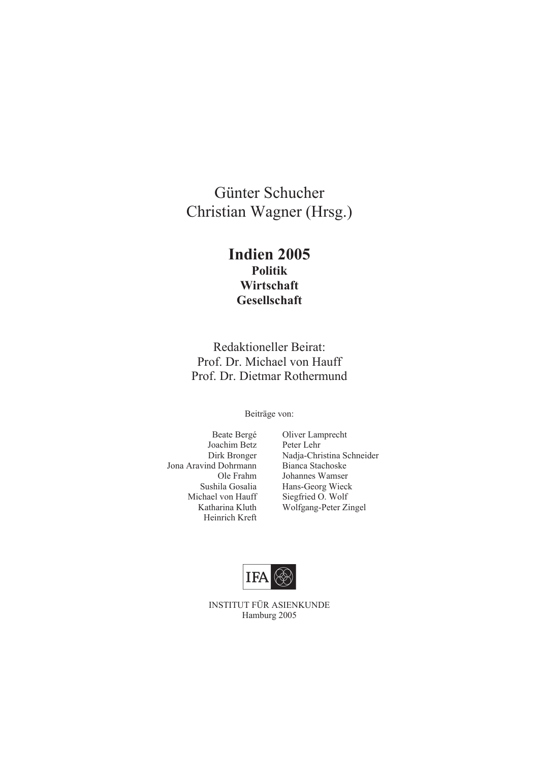## Günter Schucher Christian Wagner (Hrsg.)

## **Indien 2005 Politik Wirtschaft Gesellschaft**

Redaktioneller Beirat: Prof. Dr. Michael von Hauff Prof. Dr. Dietmar Rothermund

Beiträge von:

- Joachim Betz Peter Lehr Jona Aravind Dohrmann Bianca Stachoske Heinrich Kreft
- Beate Bergé Oliver Lamprecht Dirk Bronger Nadja-Christina Schneider Ole Frahm Johannes Wamser Sushila Gosalia Hans-Georg Wieck<br>Michael von Hauff Siegfried O. Wolf Siegfried O. Wolf Katharina Kluth Wolfgang-Peter Zingel



INSTITUT FÜR ASIENKUNDE Hamburg 2005